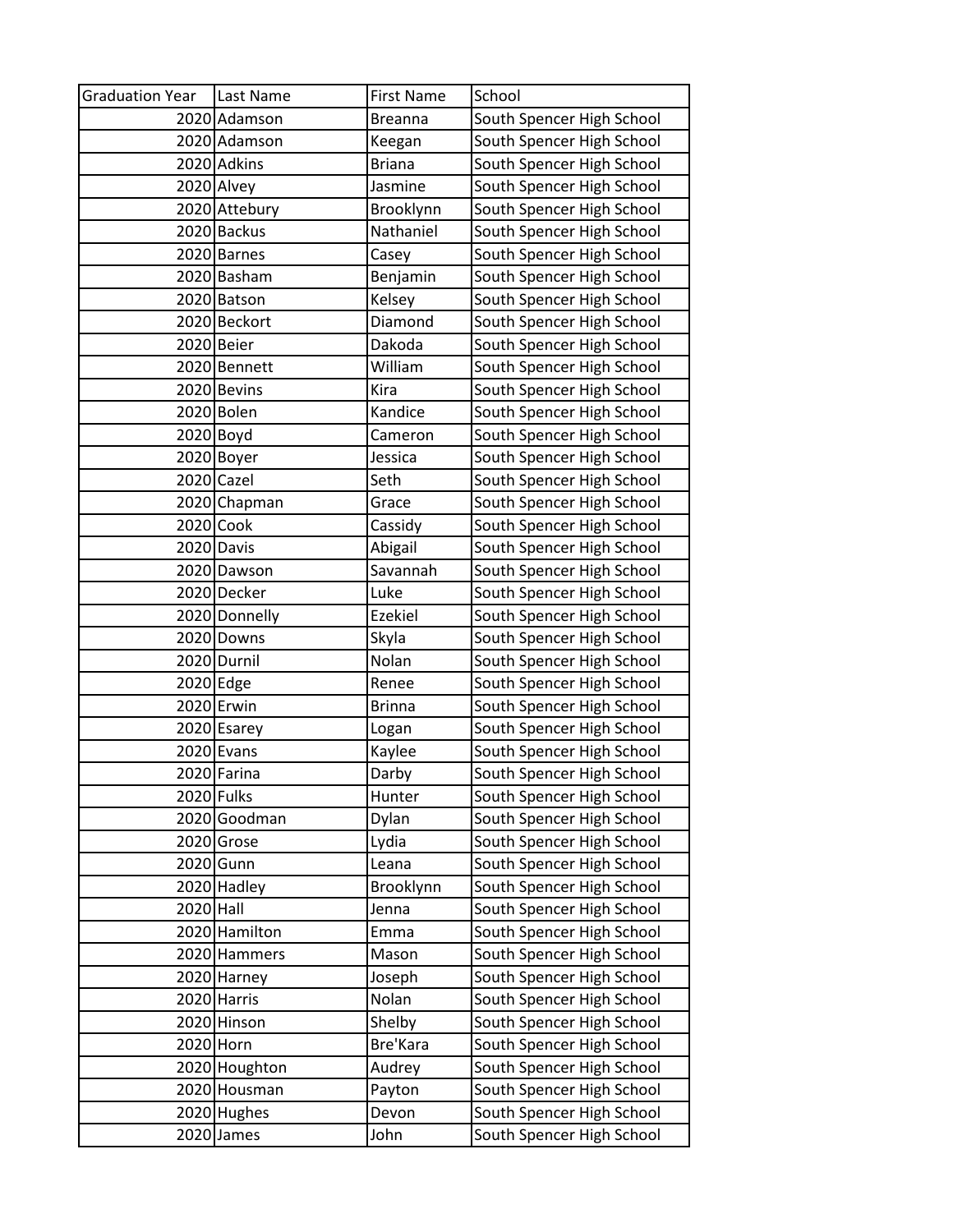| <b>Graduation Year</b> | Last Name     | <b>First Name</b> | School                    |
|------------------------|---------------|-------------------|---------------------------|
|                        | 2020 Adamson  | <b>Breanna</b>    | South Spencer High School |
|                        | 2020 Adamson  | Keegan            | South Spencer High School |
|                        | 2020 Adkins   | <b>Briana</b>     | South Spencer High School |
|                        | 2020 Alvey    | Jasmine           | South Spencer High School |
|                        | 2020 Attebury | Brooklynn         | South Spencer High School |
|                        | 2020 Backus   | Nathaniel         | South Spencer High School |
|                        | 2020 Barnes   | Casey             | South Spencer High School |
|                        | 2020 Basham   | Benjamin          | South Spencer High School |
|                        | 2020 Batson   | Kelsey            | South Spencer High School |
|                        | 2020 Beckort  | Diamond           | South Spencer High School |
|                        | 2020 Beier    | Dakoda            | South Spencer High School |
|                        | 2020 Bennett  | William           | South Spencer High School |
|                        | 2020 Bevins   | Kira              | South Spencer High School |
|                        | 2020 Bolen    | Kandice           | South Spencer High School |
|                        | 2020 Boyd     | Cameron           | South Spencer High School |
|                        | 2020 Boyer    | Jessica           | South Spencer High School |
|                        | 2020 Cazel    | Seth              | South Spencer High School |
|                        | 2020 Chapman  | Grace             | South Spencer High School |
|                        | 2020 Cook     | Cassidy           | South Spencer High School |
|                        | 2020 Davis    | Abigail           | South Spencer High School |
|                        | 2020 Dawson   | Savannah          | South Spencer High School |
|                        | 2020 Decker   | Luke              | South Spencer High School |
|                        | 2020 Donnelly | <b>Ezekiel</b>    | South Spencer High School |
|                        | 2020 Downs    | Skyla             | South Spencer High School |
|                        | 2020 Durnil   | Nolan             | South Spencer High School |
|                        | 2020 Edge     | Renee             | South Spencer High School |
|                        | 2020 Erwin    | <b>Brinna</b>     | South Spencer High School |
|                        | 2020 Esarey   | Logan             | South Spencer High School |
|                        | 2020 Evans    | Kaylee            | South Spencer High School |
|                        | 2020 Farina   | Darby             | South Spencer High School |
|                        | 2020 Fulks    | Hunter            | South Spencer High School |
|                        | 2020 Goodman  | Dylan             | South Spencer High School |
|                        | 2020 Grose    | Lydia             | South Spencer High School |
|                        | 2020 Gunn     | Leana             | South Spencer High School |
|                        | 2020 Hadley   | Brooklynn         | South Spencer High School |
| 2020 Hall              |               | Jenna             | South Spencer High School |
|                        | 2020 Hamilton | Emma              | South Spencer High School |
|                        | 2020 Hammers  | Mason             | South Spencer High School |
|                        | 2020 Harney   | Joseph            | South Spencer High School |
|                        | 2020 Harris   | Nolan             | South Spencer High School |
|                        | 2020 Hinson   | Shelby            | South Spencer High School |
|                        | 2020 Horn     | Bre'Kara          | South Spencer High School |
|                        | 2020 Houghton | Audrey            | South Spencer High School |
|                        | 2020 Housman  | Payton            | South Spencer High School |
|                        | 2020 Hughes   | Devon             | South Spencer High School |
| 2020                   | James         | John              | South Spencer High School |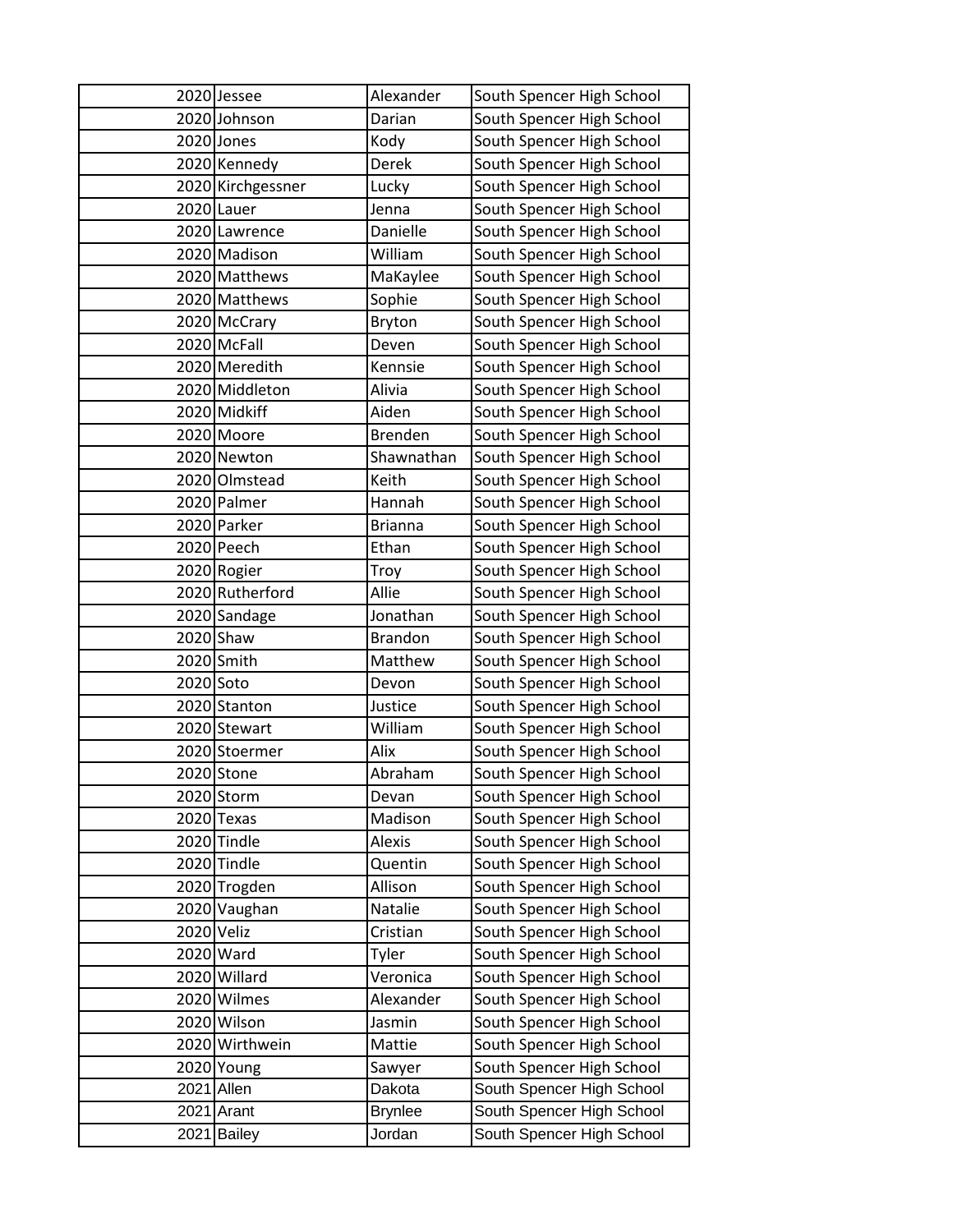|            | 2020 Jessee       | Alexander      | South Spencer High School |
|------------|-------------------|----------------|---------------------------|
|            | 2020 Johnson      | Darian         | South Spencer High School |
|            | 2020 Jones        | Kody           | South Spencer High School |
|            | 2020 Kennedy      | Derek          | South Spencer High School |
|            | 2020 Kirchgessner | Lucky          | South Spencer High School |
|            | 2020 Lauer        | Jenna          | South Spencer High School |
|            | 2020 Lawrence     | Danielle       | South Spencer High School |
|            | 2020 Madison      | William        | South Spencer High School |
|            | 2020 Matthews     | MaKaylee       | South Spencer High School |
|            | 2020 Matthews     | Sophie         | South Spencer High School |
|            | 2020 McCrary      | Bryton         | South Spencer High School |
|            | 2020 McFall       | Deven          | South Spencer High School |
|            | 2020 Meredith     | Kennsie        | South Spencer High School |
|            | 2020 Middleton    | Alivia         | South Spencer High School |
|            | 2020 Midkiff      | Aiden          | South Spencer High School |
|            | 2020 Moore        | <b>Brenden</b> | South Spencer High School |
|            | 2020 Newton       | Shawnathan     | South Spencer High School |
|            | 2020 Olmstead     | Keith          | South Spencer High School |
|            | 2020 Palmer       | Hannah         | South Spencer High School |
|            | 2020 Parker       | <b>Brianna</b> | South Spencer High School |
|            | 2020 Peech        | Ethan          | South Spencer High School |
|            | 2020 Rogier       | Troy           | South Spencer High School |
|            | 2020 Rutherford   | Allie          | South Spencer High School |
|            | 2020 Sandage      | Jonathan       | South Spencer High School |
|            | 2020 Shaw         | <b>Brandon</b> | South Spencer High School |
|            | 2020 Smith        | Matthew        | South Spencer High School |
| 2020 Soto  |                   | Devon          | South Spencer High School |
|            | 2020 Stanton      | Justice        | South Spencer High School |
|            | 2020 Stewart      | William        | South Spencer High School |
|            | 2020 Stoermer     | Alix           | South Spencer High School |
|            | 2020 Stone        | Abraham        | South Spencer High School |
|            | 2020 Storm        | Devan          | South Spencer High School |
|            | 2020 Texas        | Madison        | South Spencer High School |
|            | 2020 Tindle       | Alexis         | South Spencer High School |
|            | 2020 Tindle       | Quentin        | South Spencer High School |
|            | 2020 Trogden      | Allison        | South Spencer High School |
|            | 2020 Vaughan      | Natalie        | South Spencer High School |
| 2020 Veliz |                   | Cristian       | South Spencer High School |
|            | 2020 Ward         | Tyler          | South Spencer High School |
|            | 2020 Willard      | Veronica       | South Spencer High School |
|            | 2020 Wilmes       | Alexander      | South Spencer High School |
|            | 2020 Wilson       | Jasmin         | South Spencer High School |
|            | 2020 Wirthwein    | Mattie         | South Spencer High School |
|            | 2020 Young        | Sawyer         | South Spencer High School |
|            | 2021 Allen        | Dakota         | South Spencer High School |
|            | 2021 Arant        | <b>Brynlee</b> | South Spencer High School |
|            | 2021 Bailey       | Jordan         | South Spencer High School |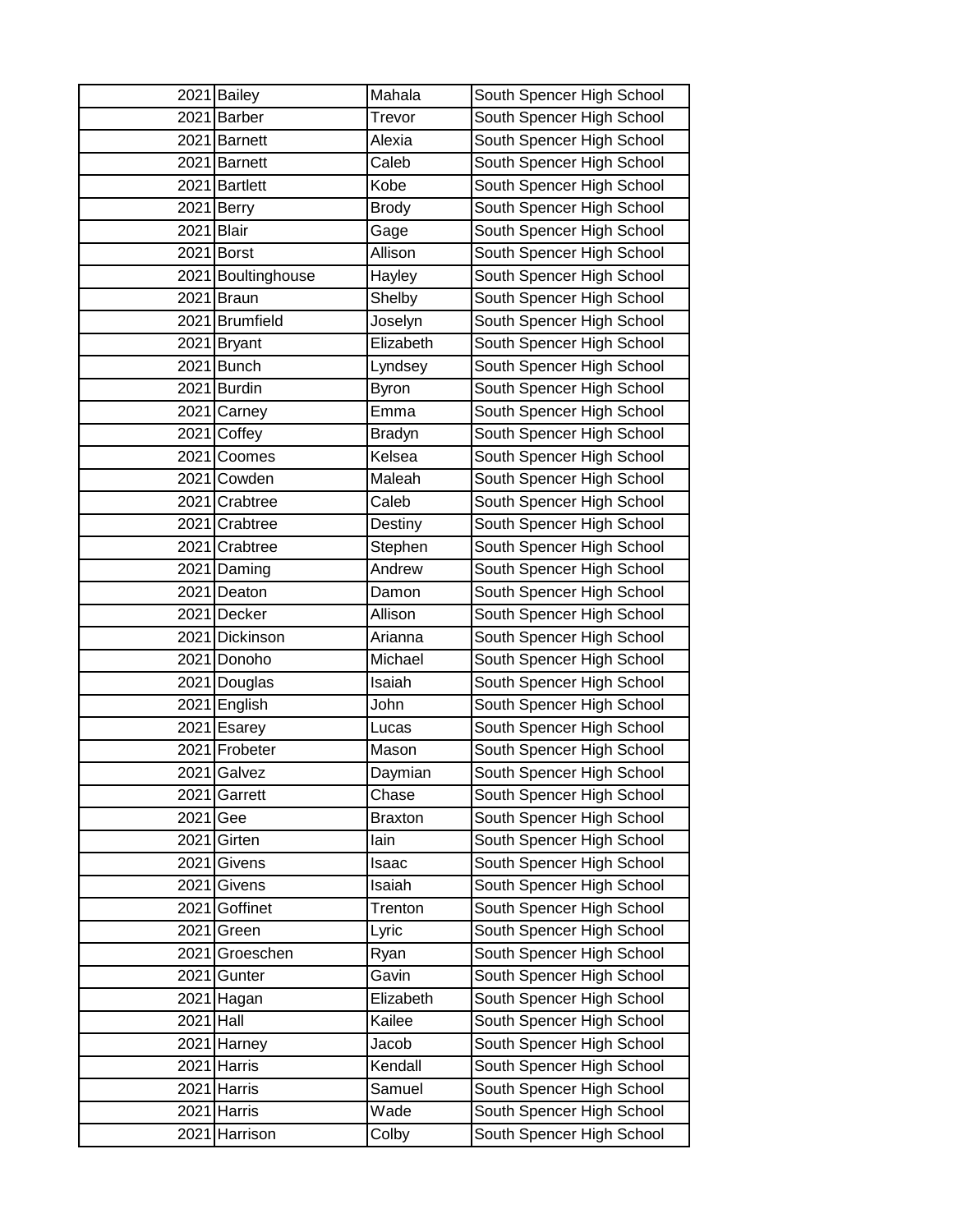|      | 2021 Bailey      | Mahala         | South Spencer High School |
|------|------------------|----------------|---------------------------|
| 2021 | <b>Barber</b>    | Trevor         | South Spencer High School |
|      | 2021 Barnett     | Alexia         | South Spencer High School |
| 2021 | <b>Barnett</b>   | Caleb          | South Spencer High School |
| 2021 | <b>Bartlett</b>  | Kobe           | South Spencer High School |
| 2021 | <b>Berry</b>     | <b>Brody</b>   | South Spencer High School |
| 2021 | <b>Blair</b>     | Gage           | South Spencer High School |
| 2021 | <b>Borst</b>     | Allison        | South Spencer High School |
| 2021 | Boultinghouse    | Hayley         | South Spencer High School |
| 2021 | <b>Braun</b>     | Shelby         | South Spencer High School |
| 2021 | <b>Brumfield</b> | Joselyn        | South Spencer High School |
| 2021 | <b>Bryant</b>    | Elizabeth      | South Spencer High School |
| 2021 | Bunch            | Lyndsey        | South Spencer High School |
| 2021 | <b>Burdin</b>    | <b>Byron</b>   | South Spencer High School |
| 2021 | Carney           | Emma           | South Spencer High School |
| 2021 | Coffey           | <b>Bradyn</b>  | South Spencer High School |
| 2021 | Coomes           | Kelsea         | South Spencer High School |
| 2021 | Cowden           | Maleah         | South Spencer High School |
| 2021 | Crabtree         | Caleb          | South Spencer High School |
| 2021 | Crabtree         | Destiny        | South Spencer High School |
|      | 2021 Crabtree    | Stephen        | South Spencer High School |
| 2021 | Daming           | Andrew         | South Spencer High School |
| 2021 | Deaton           | Damon          | South Spencer High School |
| 2021 | Decker           | Allison        | South Spencer High School |
| 2021 | Dickinson        | Arianna        | South Spencer High School |
| 2021 | Donoho           | Michael        | South Spencer High School |
| 2021 | Douglas          | Isaiah         | South Spencer High School |
| 2021 | English          | John           | South Spencer High School |
| 2021 | Esarey           | Lucas          | South Spencer High School |
| 2021 | Frobeter         | Mason          | South Spencer High School |
| 2021 | Galvez           | Daymian        | South Spencer High School |
| 2021 | Garrett          | Chase          | South Spencer High School |
| 2021 | Gee              | <b>Braxton</b> | South Spencer High School |
| 2021 | Girten           | lain           | South Spencer High School |
| 2021 | Givens           | Isaac          | South Spencer High School |
| 2021 | Givens           | Isaiah         | South Spencer High School |
| 2021 | Goffinet         | Trenton        | South Spencer High School |
| 2021 | Green            | Lyric          | South Spencer High School |
| 2021 | Groeschen        | Ryan           | South Spencer High School |
| 2021 | Gunter           | Gavin          | South Spencer High School |
|      | 2021 Hagan       | Elizabeth      | South Spencer High School |
| 2021 | Hall             | Kailee         | South Spencer High School |
| 2021 | Harney           | Jacob          | South Spencer High School |
| 2021 | Harris           | Kendall        | South Spencer High School |
| 2021 | Harris           | Samuel         | South Spencer High School |
| 2021 | Harris           | Wade           | South Spencer High School |
| 2021 | Harrison         | Colby          | South Spencer High School |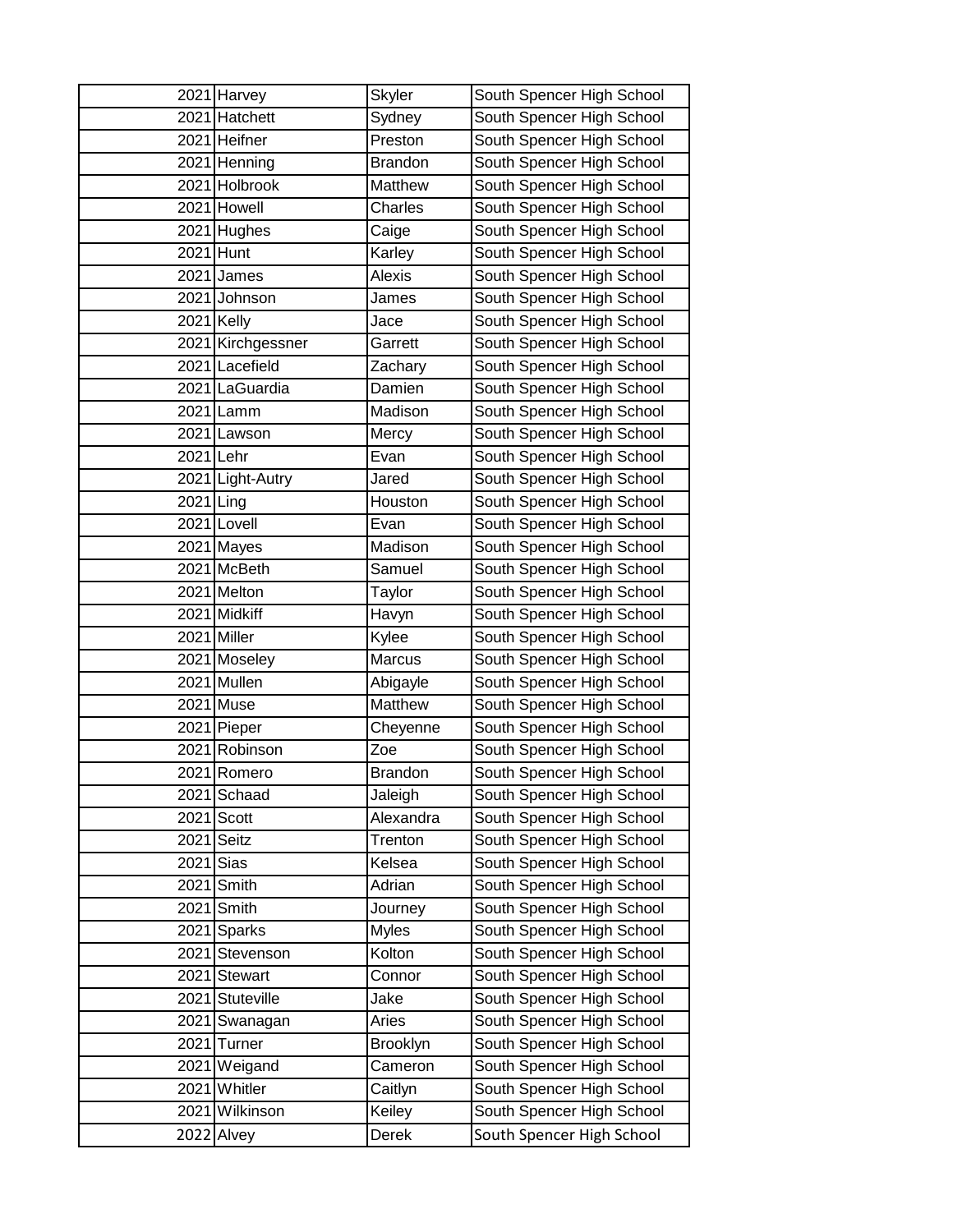|             | 2021 Harvey       | <b>Skyler</b>  | South Spencer High School |
|-------------|-------------------|----------------|---------------------------|
|             | 2021 Hatchett     | Sydney         | South Spencer High School |
|             | 2021 Heifner      | Preston        | South Spencer High School |
|             | 2021 Henning      | <b>Brandon</b> | South Spencer High School |
|             | 2021 Holbrook     | Matthew        | South Spencer High School |
|             | 2021 Howell       | Charles        | South Spencer High School |
|             | 2021 Hughes       | Caige          | South Spencer High School |
|             | 2021 Hunt         | Karley         | South Spencer High School |
|             | 2021 James        | Alexis         | South Spencer High School |
|             | 2021 Johnson      | James          | South Spencer High School |
|             | 2021 Kelly        | Jace           | South Spencer High School |
|             | 2021 Kirchgessner | Garrett        | South Spencer High School |
|             | 2021 Lacefield    | Zachary        | South Spencer High School |
|             | 2021 LaGuardia    | Damien         | South Spencer High School |
|             | 2021 Lamm         | Madison        | South Spencer High School |
|             | 2021 Lawson       | Mercy          | South Spencer High School |
| 2021 Lehr   |                   | Evan           | South Spencer High School |
|             | 2021 Light-Autry  | Jared          | South Spencer High School |
| $2021$ Ling |                   | Houston        | South Spencer High School |
|             | 2021 Lovell       | Evan           | South Spencer High School |
|             | 2021 Mayes        | Madison        | South Spencer High School |
|             | 2021 McBeth       | Samuel         | South Spencer High School |
|             | 2021 Melton       | Taylor         | South Spencer High School |
|             | 2021 Midkiff      | Havyn          | South Spencer High School |
|             | 2021 Miller       | Kylee          | South Spencer High School |
|             | 2021 Moseley      | Marcus         | South Spencer High School |
|             | 2021 Mullen       | Abigayle       | South Spencer High School |
|             | 2021 Muse         | Matthew        | South Spencer High School |
|             | 2021 Pieper       | Cheyenne       | South Spencer High School |
|             | 2021 Robinson     | Zoe            | South Spencer High School |
|             | 2021 Romero       | <b>Brandon</b> | South Spencer High School |
|             | 2021 Schaad       | Jaleigh        | South Spencer High School |
| 2021        | Scott             | Alexandra      | South Spencer High School |
| 2021        | Seitz             | Trenton        | South Spencer High School |
| 2021        | Sias              | Kelsea         | South Spencer High School |
| 2021        | Smith             | Adrian         | South Spencer High School |
| 2021        | Smith             | Journey        | South Spencer High School |
| 2021        | <b>Sparks</b>     | <b>Myles</b>   | South Spencer High School |
|             | 2021 Stevenson    | Kolton         | South Spencer High School |
|             | 2021 Stewart      | Connor         | South Spencer High School |
|             | 2021 Stuteville   | Jake           | South Spencer High School |
| 2021        | Swanagan          | Aries          | South Spencer High School |
| 2021        | Turner            | Brooklyn       | South Spencer High School |
| 2021        | Weigand           | Cameron        | South Spencer High School |
|             | 2021 Whitler      | Caitlyn        | South Spencer High School |
|             | 2021 Wilkinson    | Keiley         | South Spencer High School |
| 2022        | Alvey             | Derek          | South Spencer High School |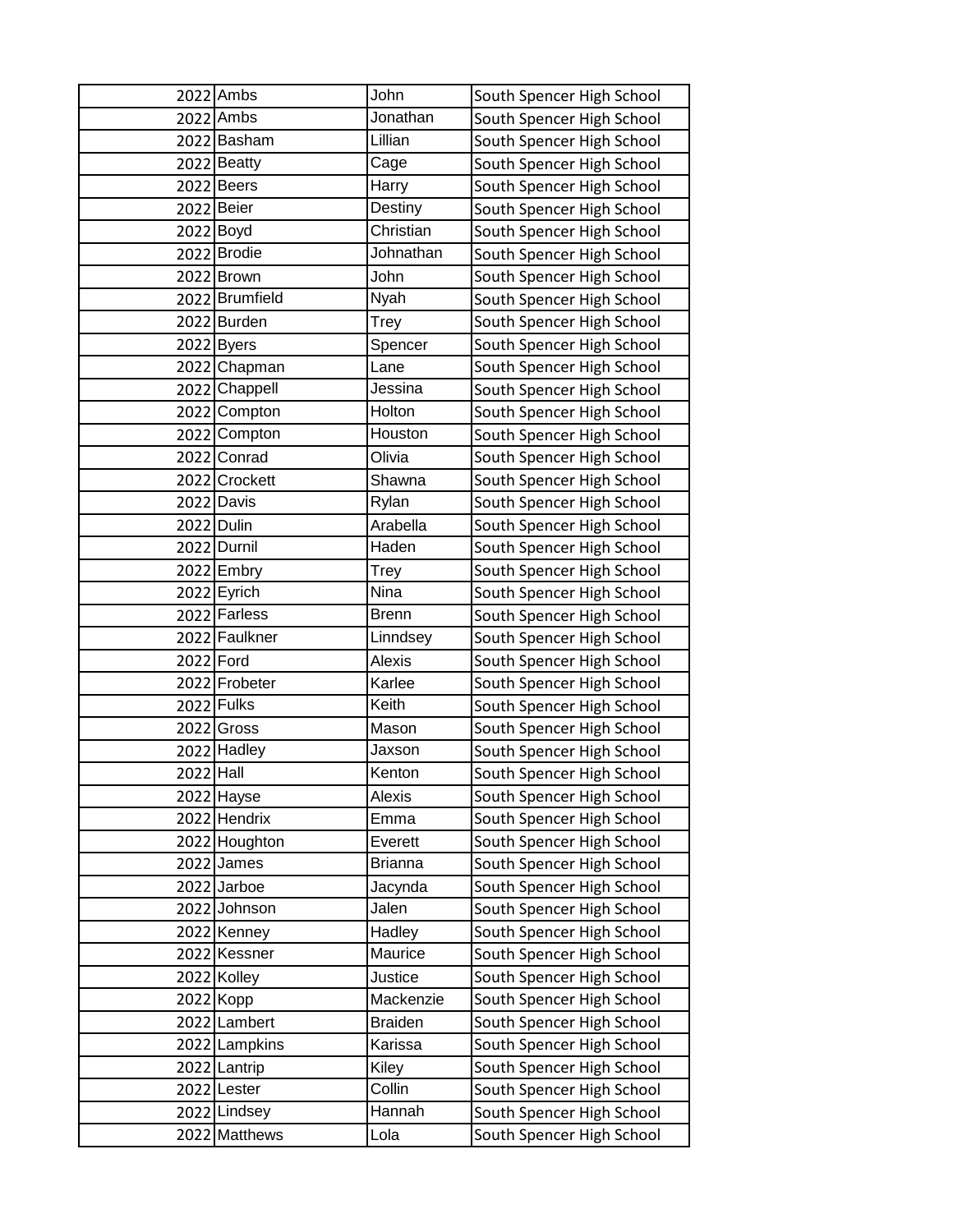|           | 2022 Ambs      | John           | South Spencer High School |
|-----------|----------------|----------------|---------------------------|
|           | 2022 Ambs      | Jonathan       | South Spencer High School |
|           | 2022 Basham    | Lillian        | South Spencer High School |
|           | 2022 Beatty    | Cage           | South Spencer High School |
|           | 2022 Beers     | Harry          | South Spencer High School |
|           | 2022 Beier     | Destiny        | South Spencer High School |
|           | 2022 Boyd      | Christian      | South Spencer High School |
| 2022      | <b>Brodie</b>  | Johnathan      | South Spencer High School |
|           | 2022 Brown     | John           | South Spencer High School |
|           | 2022 Brumfield | Nyah           | South Spencer High School |
|           | 2022 Burden    | Trey           | South Spencer High School |
|           | 2022 Byers     | Spencer        | South Spencer High School |
|           | 2022 Chapman   | Lane           | South Spencer High School |
|           | 2022 Chappell  | Jessina        | South Spencer High School |
|           | 2022 Compton   | Holton         | South Spencer High School |
|           | 2022 Compton   | Houston        | South Spencer High School |
|           | 2022 Conrad    | Olivia         | South Spencer High School |
|           | 2022 Crockett  | Shawna         | South Spencer High School |
|           | 2022 Davis     | Rylan          | South Spencer High School |
|           | 2022 Dulin     | Arabella       | South Spencer High School |
|           | 2022 Durnil    | Haden          | South Spencer High School |
| 2022      | Embry          | Trey           | South Spencer High School |
|           | 2022 Eyrich    | Nina           | South Spencer High School |
|           | 2022 Farless   | <b>Brenn</b>   | South Spencer High School |
|           | 2022 Faulkner  | Linndsey       | South Spencer High School |
| 2022 Ford |                | Alexis         | South Spencer High School |
|           | 2022 Frobeter  | Karlee         | South Spencer High School |
|           | 2022 Fulks     | Keith          | South Spencer High School |
| 2022      | Gross          | Mason          | South Spencer High School |
|           | 2022 Hadley    | Jaxson         | South Spencer High School |
| 2022 Hall |                | Kenton         | South Spencer High School |
|           | 2022 Hayse     | Alexis         | South Spencer High School |
|           | 2022 Hendrix   | Emma           | South Spencer High School |
|           | 2022 Houghton  | Everett        | South Spencer High School |
|           | 2022 James     | <b>Brianna</b> | South Spencer High School |
|           | 2022 Jarboe    | Jacynda        | South Spencer High School |
|           | 2022 Johnson   | Jalen          | South Spencer High School |
|           | 2022 Kenney    | Hadley         | South Spencer High School |
|           | 2022 Kessner   | Maurice        | South Spencer High School |
|           | 2022 Kolley    | Justice        | South Spencer High School |
|           | 2022 Kopp      | Mackenzie      | South Spencer High School |
|           | 2022 Lambert   | <b>Braiden</b> | South Spencer High School |
|           | 2022 Lampkins  | Karissa        | South Spencer High School |
|           | 2022 Lantrip   | Kiley          | South Spencer High School |
|           | 2022 Lester    | Collin         | South Spencer High School |
|           | 2022 Lindsey   | Hannah         | South Spencer High School |
|           | 2022 Matthews  | Lola           | South Spencer High School |